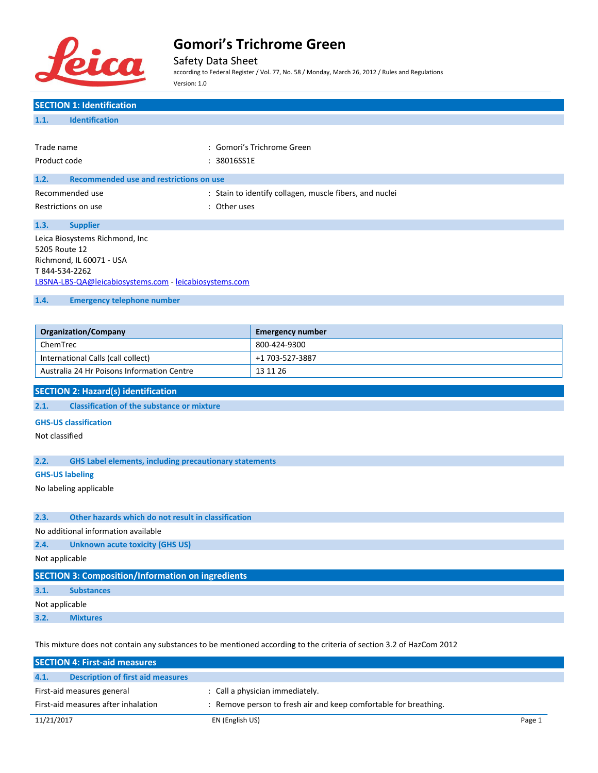

Safety Data Sheet

according to Federal Register / Vol. 77, No. 58 / Monday, March 26, 2012 / Rules and Regulations Version: 1.0

## **SECTION 1: Identification 1.1. Identification** Trade name : Gomori's Trichrome Green Product code : 38016SS1E **1.2. Recommended use and restrictions on use** Recommended use  $\qquad \qquad$ : Stain to identify collagen, muscle fibers, and nuclei Restrictions on use the set of the set of the set of the set of the set of the set of the set of the set of the set of the set of the set of the set of the set of the set of the set of the set of the set of the set of the **1.3. Supplier** Leica Biosystems Richmond, Inc 5205 Route 12 Richmond, IL 60071 - USA T 844-534-2262 [LBSNA-LBS-QA@leicabiosystems.com](mailto:LBSNA-LBS-QA@leicabiosystems.com) - <leicabiosystems.com> **1.4. Emergency telephone number Organization/Company Emergency number** ChemTrec 800-424-9300 International Calls (call collect) +1 703-527-3887 Australia 24 Hr Poisons Information Centre 13 11 26 **SECTION 2: Hazard(s) identification 2.1. Classification of the substance or mixture GHS-US classification** Not classified **2.2. GHS Label elements, including precautionary statements GHS-US labeling** No labeling applicable **2.3. Other hazards which do not result in classification** No additional information available **2.4. Unknown acute toxicity (GHS US)** Not applicable **SECTION 3: Composition/Information on ingredients 3.1. Substances** Not applicable **3.2. Mixtures**

This mixture does not contain any substances to be mentioned according to the criteria of section 3.2 of HazCom 2012

|                                     | <b>SECTION 4: First-aid measures</b>     |                                                                  |        |
|-------------------------------------|------------------------------------------|------------------------------------------------------------------|--------|
| 4.1.                                | <b>Description of first aid measures</b> |                                                                  |        |
| First-aid measures general          |                                          | : Call a physician immediately.                                  |        |
| First-aid measures after inhalation |                                          | : Remove person to fresh air and keep comfortable for breathing. |        |
| 11/21/2017                          |                                          | EN (English US)                                                  | Page 1 |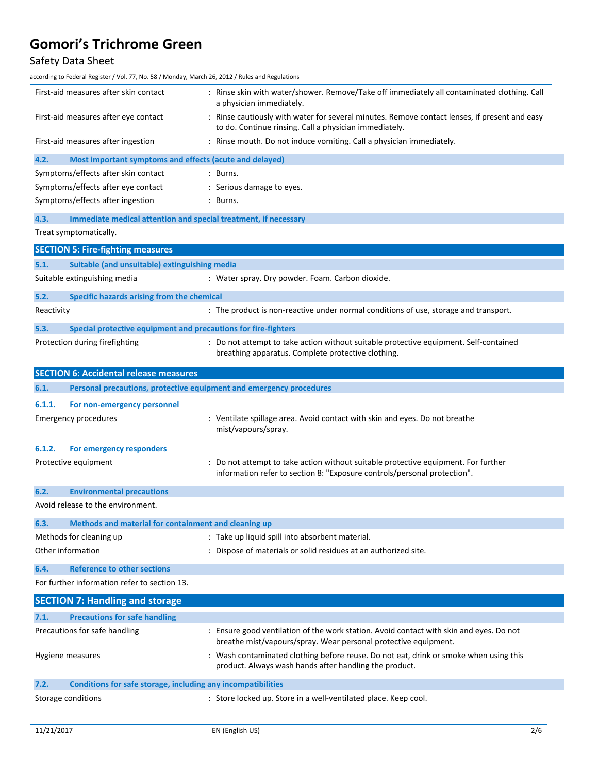## Safety Data Sheet

according to Federal Register / Vol. 77, No. 58 / Monday, March 26, 2012 / Rules and Regulations

| First-aid measures after skin contact |                                                                     | : Rinse skin with water/shower. Remove/Take off immediately all contaminated clothing. Call<br>a physician immediately.                                                                                            |  |
|---------------------------------------|---------------------------------------------------------------------|--------------------------------------------------------------------------------------------------------------------------------------------------------------------------------------------------------------------|--|
| First-aid measures after eye contact  |                                                                     | : Rinse cautiously with water for several minutes. Remove contact lenses, if present and easy<br>to do. Continue rinsing. Call a physician immediately.                                                            |  |
| First-aid measures after ingestion    |                                                                     | : Rinse mouth. Do not induce vomiting. Call a physician immediately.                                                                                                                                               |  |
| 4.2.                                  | Most important symptoms and effects (acute and delayed)             |                                                                                                                                                                                                                    |  |
|                                       | Symptoms/effects after skin contact                                 | : Burns.                                                                                                                                                                                                           |  |
| Symptoms/effects after eye contact    |                                                                     | : Serious damage to eyes.                                                                                                                                                                                          |  |
|                                       | Symptoms/effects after ingestion                                    | : Burns.                                                                                                                                                                                                           |  |
| 4.3.                                  | Immediate medical attention and special treatment, if necessary     |                                                                                                                                                                                                                    |  |
|                                       | Treat symptomatically.                                              |                                                                                                                                                                                                                    |  |
|                                       | <b>SECTION 5: Fire-fighting measures</b>                            |                                                                                                                                                                                                                    |  |
| 5.1.                                  | Suitable (and unsuitable) extinguishing media                       |                                                                                                                                                                                                                    |  |
|                                       | Suitable extinguishing media                                        | : Water spray. Dry powder. Foam. Carbon dioxide.                                                                                                                                                                   |  |
| 5.2.                                  | Specific hazards arising from the chemical                          |                                                                                                                                                                                                                    |  |
| Reactivity                            |                                                                     | : The product is non-reactive under normal conditions of use, storage and transport.                                                                                                                               |  |
| 5.3.                                  | Special protective equipment and precautions for fire-fighters      |                                                                                                                                                                                                                    |  |
|                                       | Protection during firefighting                                      | : Do not attempt to take action without suitable protective equipment. Self-contained<br>breathing apparatus. Complete protective clothing.                                                                        |  |
|                                       | <b>SECTION 6: Accidental release measures</b>                       |                                                                                                                                                                                                                    |  |
| 6.1.                                  | Personal precautions, protective equipment and emergency procedures |                                                                                                                                                                                                                    |  |
|                                       |                                                                     |                                                                                                                                                                                                                    |  |
| 6.1.1.                                | For non-emergency personnel                                         |                                                                                                                                                                                                                    |  |
|                                       | <b>Emergency procedures</b>                                         | : Ventilate spillage area. Avoid contact with skin and eyes. Do not breathe<br>mist/vapours/spray.                                                                                                                 |  |
| 6.1.2.                                | For emergency responders                                            |                                                                                                                                                                                                                    |  |
|                                       | Protective equipment                                                | : Do not attempt to take action without suitable protective equipment. For further<br>information refer to section 8: "Exposure controls/personal protection".                                                     |  |
| 6.2.                                  | <b>Environmental precautions</b>                                    |                                                                                                                                                                                                                    |  |
|                                       | Avoid release to the environment.                                   |                                                                                                                                                                                                                    |  |
| 6.3.                                  | Methods and material for containment and cleaning up                |                                                                                                                                                                                                                    |  |
|                                       | Methods for cleaning up                                             | : Take up liquid spill into absorbent material.                                                                                                                                                                    |  |
|                                       | Other information                                                   | : Dispose of materials or solid residues at an authorized site.                                                                                                                                                    |  |
| 6.4.                                  | <b>Reference to other sections</b>                                  |                                                                                                                                                                                                                    |  |
|                                       | For further information refer to section 13.                        |                                                                                                                                                                                                                    |  |
|                                       | <b>SECTION 7: Handling and storage</b>                              |                                                                                                                                                                                                                    |  |
| 7.1.                                  | <b>Precautions for safe handling</b>                                |                                                                                                                                                                                                                    |  |
|                                       | Precautions for safe handling                                       | : Ensure good ventilation of the work station. Avoid contact with skin and eyes. Do not                                                                                                                            |  |
|                                       | Hygiene measures                                                    | breathe mist/vapours/spray. Wear personal protective equipment.<br>: Wash contaminated clothing before reuse. Do not eat, drink or smoke when using this<br>product. Always wash hands after handling the product. |  |
| 7.2.                                  | Conditions for safe storage, including any incompatibilities        |                                                                                                                                                                                                                    |  |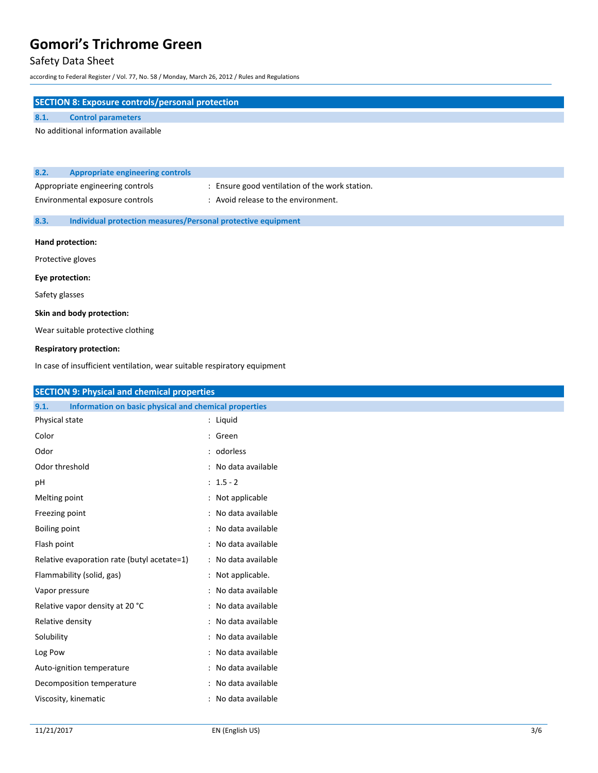## Safety Data Sheet

according to Federal Register / Vol. 77, No. 58 / Monday, March 26, 2012 / Rules and Regulations

| <b>SECTION 8: Exposure controls/personal protection</b> |                                                                     |                                                |  |
|---------------------------------------------------------|---------------------------------------------------------------------|------------------------------------------------|--|
| 8.1.                                                    | <b>Control parameters</b>                                           |                                                |  |
|                                                         | No additional information available                                 |                                                |  |
|                                                         |                                                                     |                                                |  |
|                                                         |                                                                     |                                                |  |
| 8.2.                                                    | <b>Appropriate engineering controls</b>                             |                                                |  |
| Appropriate engineering controls                        |                                                                     | : Ensure good ventilation of the work station. |  |
| Environmental exposure controls                         |                                                                     | : Avoid release to the environment.            |  |
| 8.3.                                                    | <b>Individual protection measures/Personal protective equipment</b> |                                                |  |
| Hand protection:                                        |                                                                     |                                                |  |
| Protective gloves                                       |                                                                     |                                                |  |
| Eye protection:                                         |                                                                     |                                                |  |

Safety glasses

#### **Skin and body protection:**

Wear suitable protective clothing

#### **Respiratory protection:**

In case of insufficient ventilation, wear suitable respiratory equipment

| <b>SECTION 9: Physical and chemical properties</b>            |                     |
|---------------------------------------------------------------|---------------------|
| Information on basic physical and chemical properties<br>9.1. |                     |
| Physical state                                                | : Liquid            |
| Color                                                         | : Green             |
| Odor                                                          | : odorless          |
| Odor threshold                                                | : No data available |
| pH                                                            | $: 1.5 - 2$         |
| Melting point                                                 | : Not applicable    |
| Freezing point                                                | : No data available |
| <b>Boiling point</b>                                          | : No data available |
| Flash point                                                   | : No data available |
| Relative evaporation rate (butyl acetate=1)                   | : No data available |
| Flammability (solid, gas)                                     | : Not applicable.   |
| Vapor pressure                                                | : No data available |
| Relative vapor density at 20 °C                               | : No data available |
| Relative density                                              | : No data available |
| Solubility                                                    | : No data available |
| Log Pow                                                       | : No data available |
| Auto-ignition temperature                                     | : No data available |
| Decomposition temperature                                     | : No data available |
| Viscosity, kinematic                                          | : No data available |
|                                                               |                     |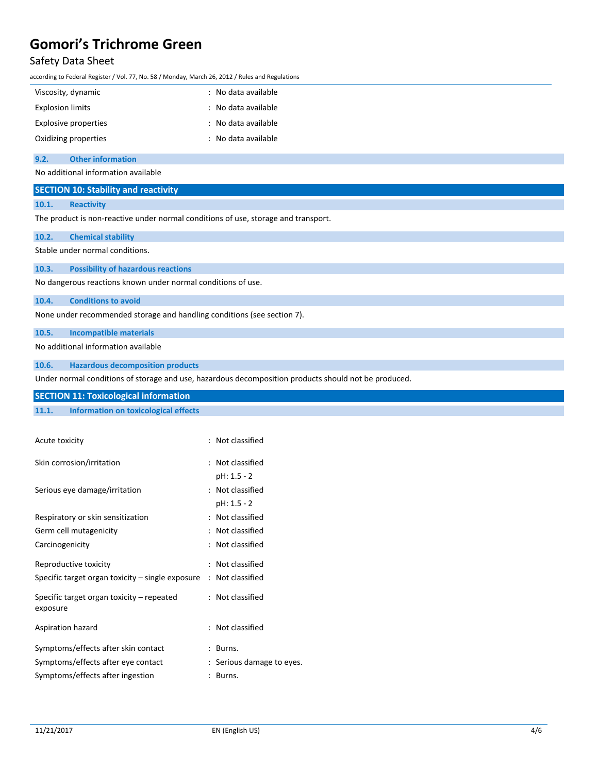### Safety Data Sheet

according to Federal Register / Vol. 77, No. 58 / Monday, March 26, 2012 / Rules and Regulations

| Viscosity, dynamic      | : No data available |
|-------------------------|---------------------|
| <b>Explosion limits</b> | : No data available |
| Explosive properties    | : No data available |
| Oxidizing properties    | : No data available |

#### **9.2. Other information**

No additional information available

### **SECTION 10: Stability and reactivity**

### **10.1. Reactivity**

The product is non-reactive under normal conditions of use, storage and transport.

| 10.2.                                                        | <b>Chemical stability</b>                |  |  |
|--------------------------------------------------------------|------------------------------------------|--|--|
| Stable under normal conditions.                              |                                          |  |  |
|                                                              | 10.3. Possibility of hazardous reactions |  |  |
| No dangerous reactions known under normal conditions of use. |                                          |  |  |

**10.4. Conditions to avoid**

None under recommended storage and handling conditions (see section 7).

**10.5. Incompatible materials**

No additional information available

**10.6. Hazardous decomposition products**

Under normal conditions of storage and use, hazardous decomposition products should not be produced.

### **SECTION 11: Toxicological information**

### **11.1. Information on toxicological effects**

| Acute toxicity                                        | : Not classified          |
|-------------------------------------------------------|---------------------------|
| Skin corrosion/irritation                             | : Not classified          |
|                                                       | pH: 1.5 - 2               |
| Serious eye damage/irritation                         | : Not classified          |
|                                                       | pH: 1.5 - 2               |
| Respiratory or skin sensitization                     | : Not classified          |
| Germ cell mutagenicity                                | : Not classified          |
| Carcinogenicity                                       | : Not classified          |
| Reproductive toxicity                                 | : Not classified          |
| Specific target organ toxicity – single exposure      | : Not classified          |
| Specific target organ toxicity – repeated<br>exposure | : Not classified          |
| Aspiration hazard                                     | : Not classified          |
| Symptoms/effects after skin contact                   | Burns.                    |
| Symptoms/effects after eye contact                    | : Serious damage to eyes. |
| Symptoms/effects after ingestion                      | Burns.                    |
|                                                       |                           |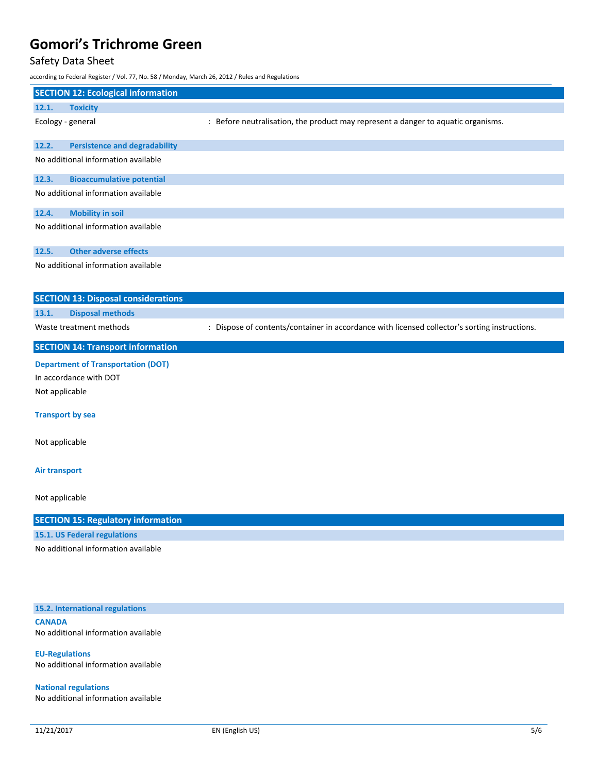## Safety Data Sheet

|                              | according to Federal Register / Vol. 77, No. 58 / Monday, March 26, 2012 / Rules and Regulations |                                                                                               |
|------------------------------|--------------------------------------------------------------------------------------------------|-----------------------------------------------------------------------------------------------|
|                              | <b>SECTION 12: Ecological information</b>                                                        |                                                                                               |
| 12.1.<br><b>Toxicity</b>     |                                                                                                  |                                                                                               |
| Ecology - general            |                                                                                                  | : Before neutralisation, the product may represent a danger to aquatic organisms.             |
| 12.2.                        | <b>Persistence and degradability</b>                                                             |                                                                                               |
|                              | No additional information available                                                              |                                                                                               |
| 12.3.                        | <b>Bioaccumulative potential</b>                                                                 |                                                                                               |
|                              | No additional information available                                                              |                                                                                               |
| 12.4.                        | <b>Mobility in soil</b>                                                                          |                                                                                               |
|                              | No additional information available                                                              |                                                                                               |
| 12.5.                        | <b>Other adverse effects</b>                                                                     |                                                                                               |
|                              | No additional information available                                                              |                                                                                               |
|                              | <b>SECTION 13: Disposal considerations</b>                                                       |                                                                                               |
| 13.1.                        | <b>Disposal methods</b>                                                                          |                                                                                               |
| Waste treatment methods      |                                                                                                  | : Dispose of contents/container in accordance with licensed collector's sorting instructions. |
|                              | <b>SECTION 14: Transport information</b>                                                         |                                                                                               |
|                              | <b>Department of Transportation (DOT)</b>                                                        |                                                                                               |
| In accordance with DOT       |                                                                                                  |                                                                                               |
| Not applicable               |                                                                                                  |                                                                                               |
| <b>Transport by sea</b>      |                                                                                                  |                                                                                               |
| Not applicable               |                                                                                                  |                                                                                               |
| <b>Air transport</b>         |                                                                                                  |                                                                                               |
| Not applicable               |                                                                                                  |                                                                                               |
|                              | <b>SECTION 15: Regulatory information</b>                                                        |                                                                                               |
| 15.1. US Federal regulations |                                                                                                  |                                                                                               |
|                              | No additional information available                                                              |                                                                                               |
|                              |                                                                                                  |                                                                                               |
|                              | 15.2. International regulations                                                                  |                                                                                               |
| <b>CANADA</b>                |                                                                                                  |                                                                                               |

No additional information available

**EU-Regulations** No additional information available

**National regulations** No additional information available